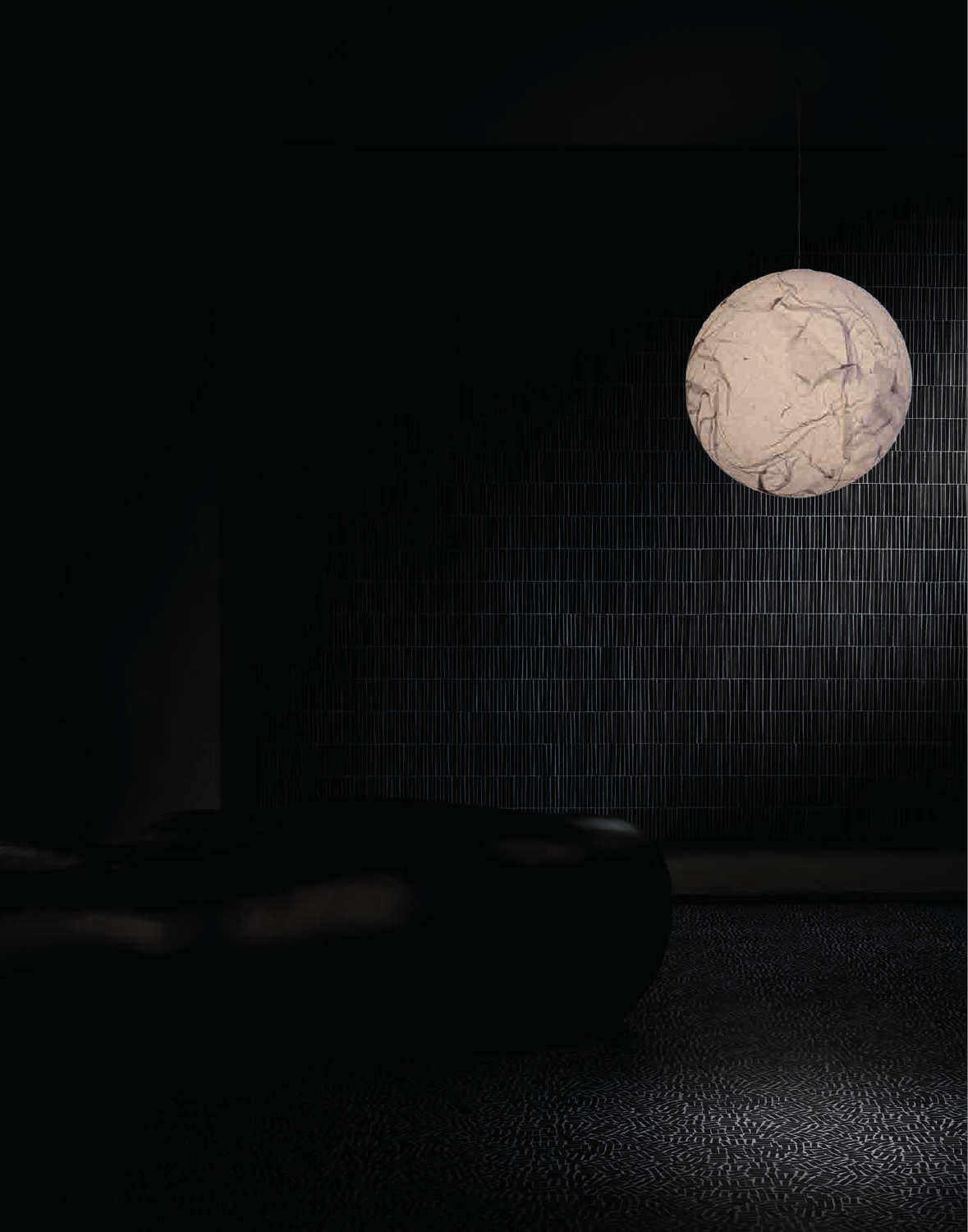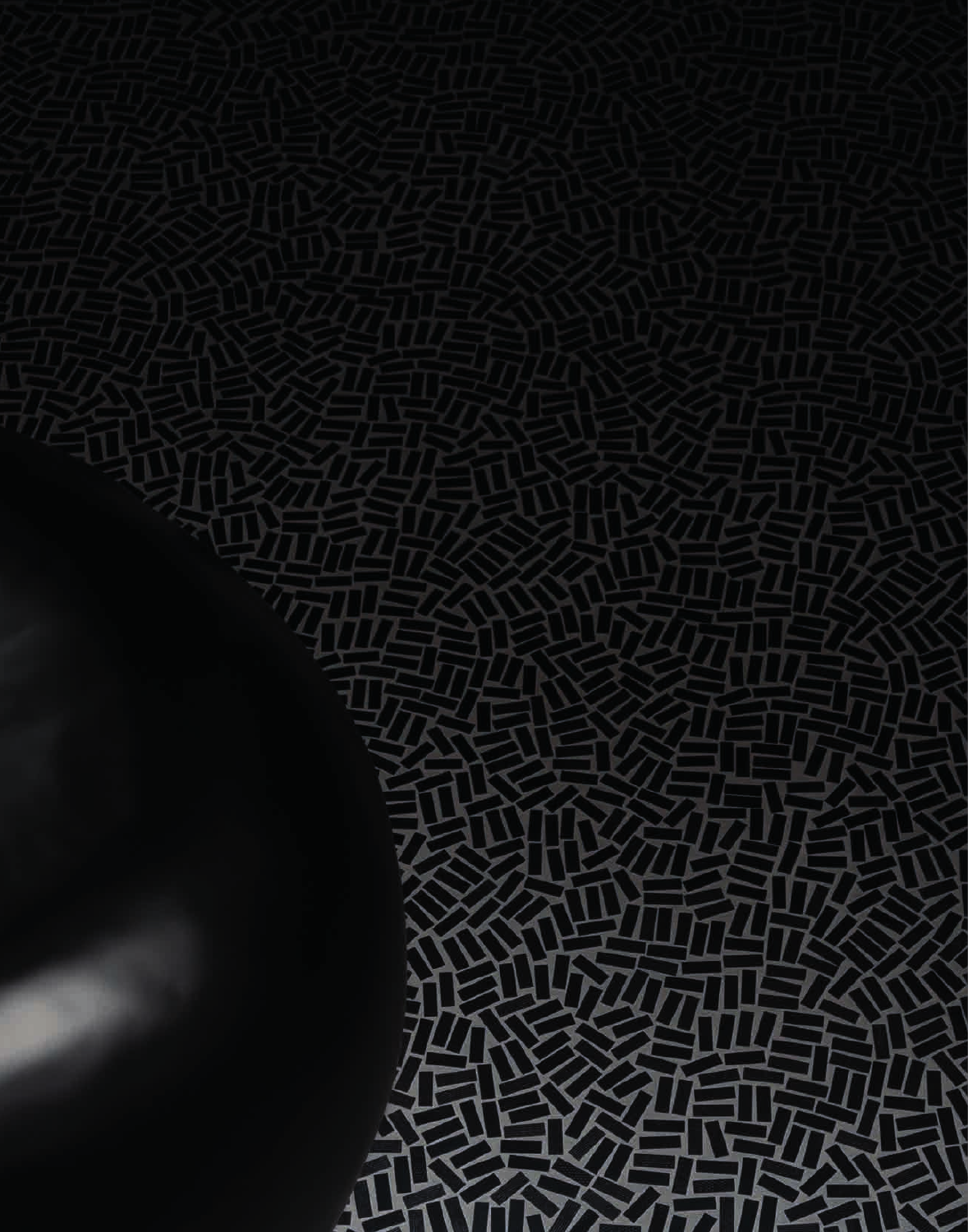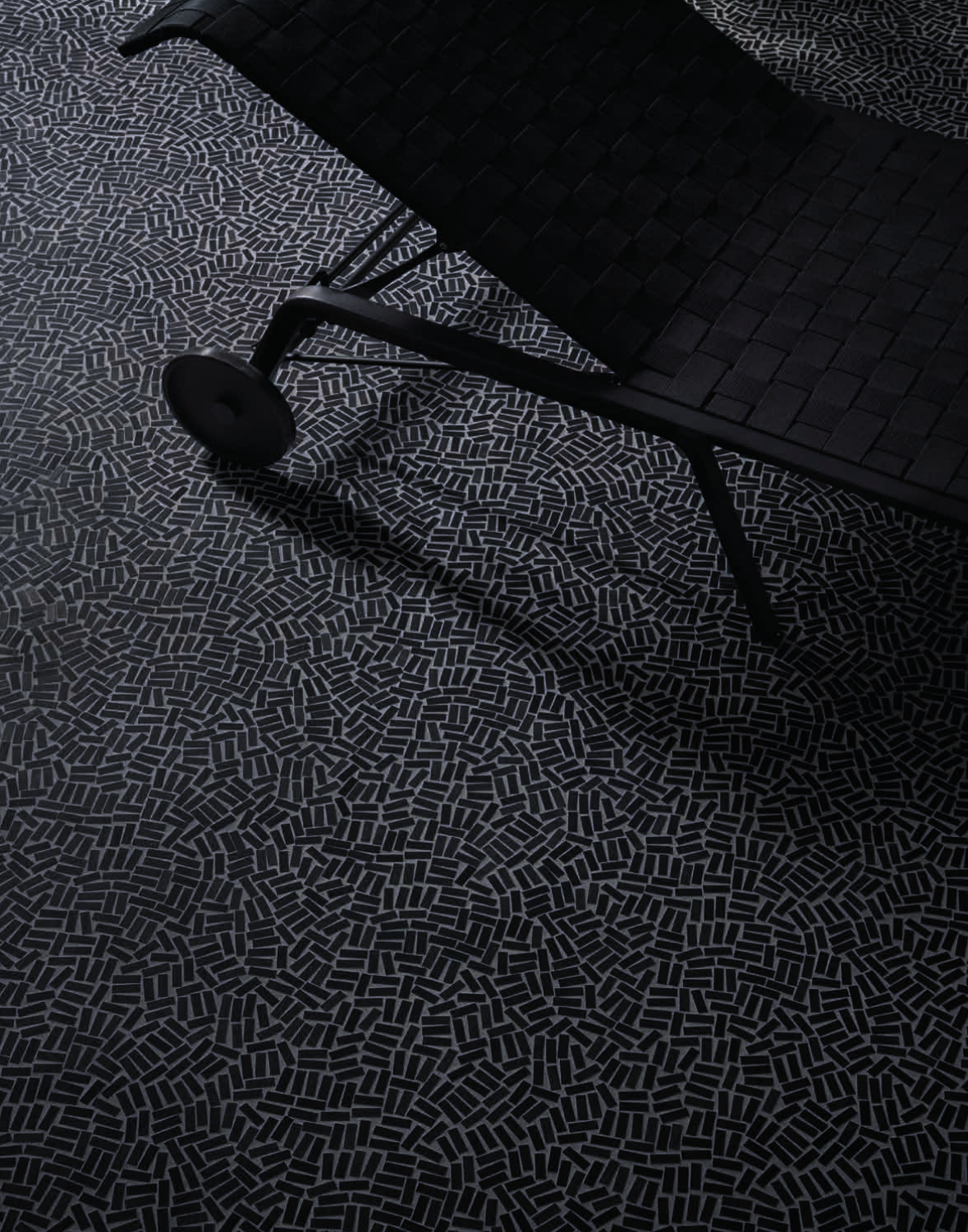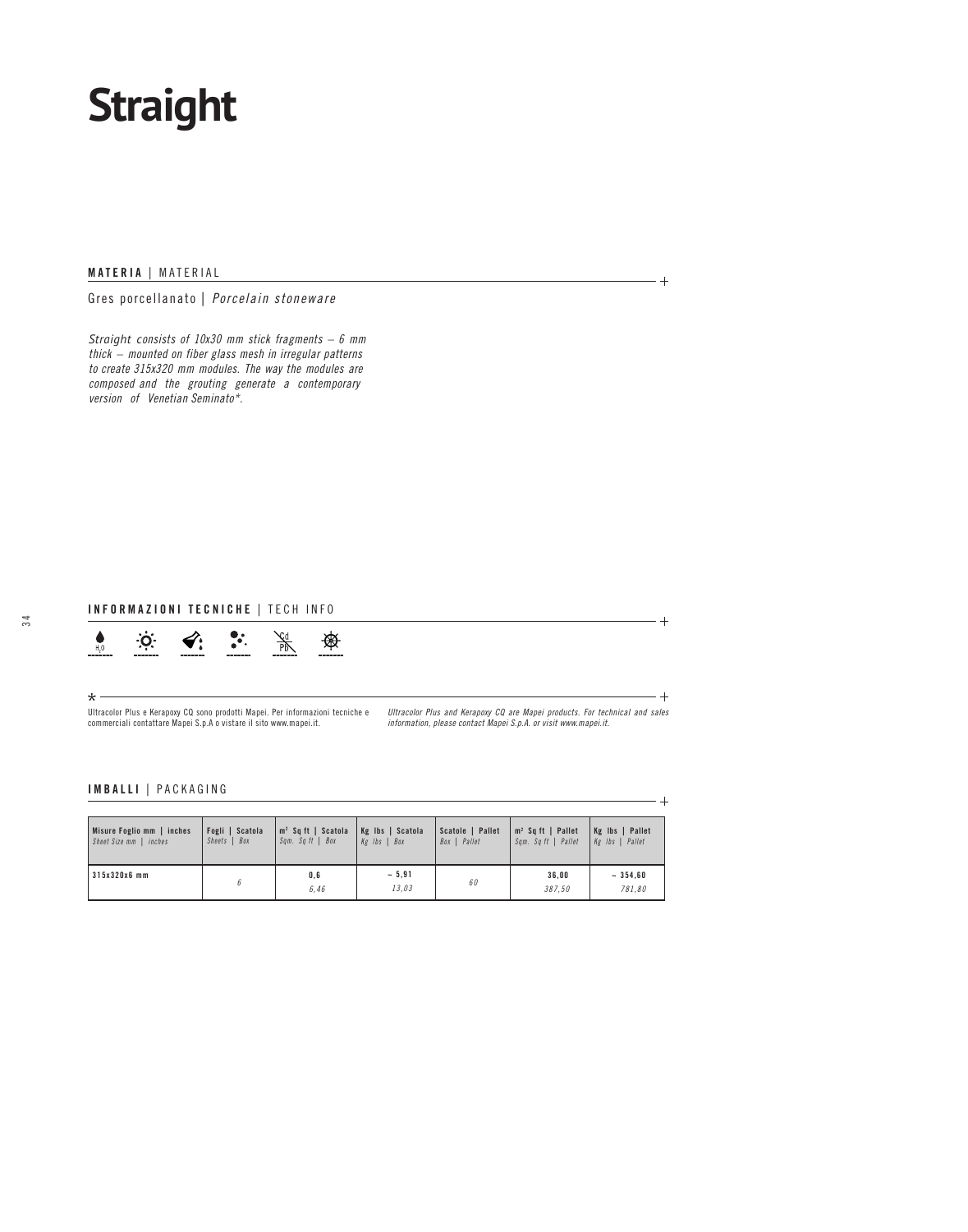# **Straight**

## MATERIA | MATERIAL

### Gres porcellanato | *Porcelain stoneware*

*Straight consists of 10x30 mm stick fragments – 6 mm thick – mounted on fiber glass mesh in irregular patterns to create 315x320 mm modules. The way the modules are composed and the grouting generate a contemporary version of Venetian Seminato\*.* 

## INFORMAZIONI TECNICHE | TECH INFO



commerciali contattare Mapei S.p.A o vistare il sito www.mapei.it.

Ultracolor Plus e Kerapoxy CQ sono prodotti Mapei. Per informazioni tecniche e *Ultracolor Plus and Kerapoxy CQ are Mapei products. For technical and sales information, please contact Mapei S.p.A. or visit www.mapei.it.*

 $-+$ 

 $+$ 

 $-$ 

 $-+$ 

### IMBALLI | PACKAGING

| Misure Foglio mm   inches<br>Sheet Size mm   inches | Scatola<br>Fogli<br>Sheets   Box | $\vert$ m <sup>2</sup> Sq ft   Scatola<br>Sam. Saft   Box | Kg Ibs   Scatola<br>$Ke$ <i>Ibs</i> $ Box$ | Scatole   Pallet<br>Pallet<br>Box 1 | $m2$ Sq ft   Pallet<br>Sam. Saft   Pallet | Kg Ibs   Pallet<br>Pallet<br>$Ke$ lbs $\parallel$ |
|-----------------------------------------------------|----------------------------------|-----------------------------------------------------------|--------------------------------------------|-------------------------------------|-------------------------------------------|---------------------------------------------------|
| 315x320x6 mm                                        | 6                                | 0,6<br>6,46                                               | ~1.91<br>13.03                             | 60                                  | 36.00<br>387.50                           | ~154.60<br>781.80                                 |

 $\star$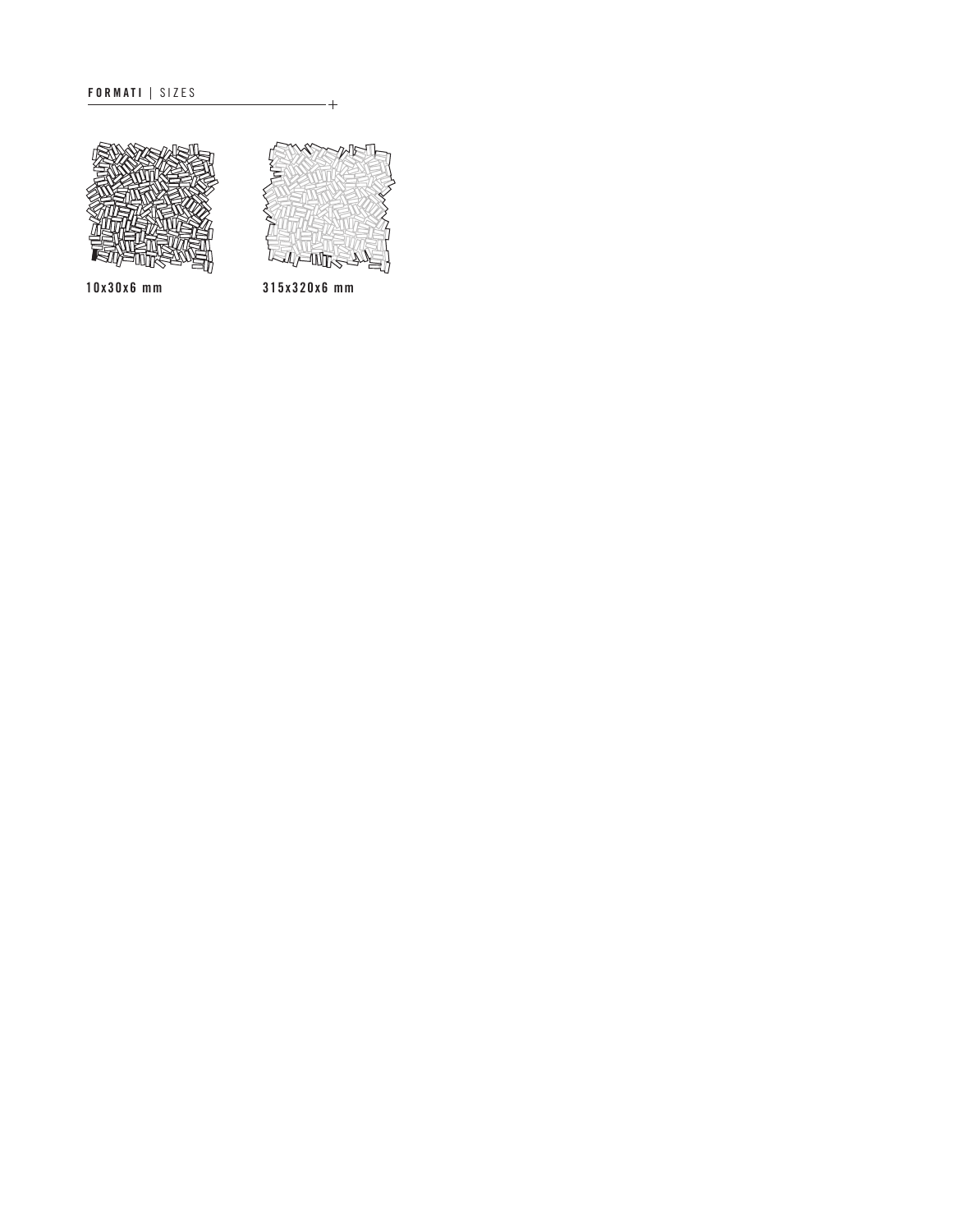



 $\ddot{}$ 

 $2\sqrt{5}$ 

10x30x6 mm 315x320x6 mm